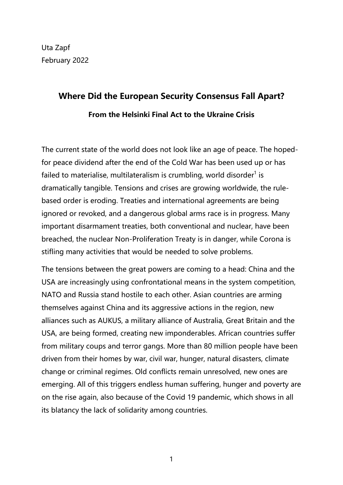Uta Zapf February 2022

# **Where Did the European Security Consensus Fall Apart? From the Helsinki Final Act to the Ukraine Crisis**

The current state of the world does not look like an age of peace. The hopedfor peace dividend after the end of the Cold War has been used up or has failed to materialise, multilateralism is crumbling, world disorder<sup>[1](#page-13-0)</sup> is is dramatically tangible. Tensions and crises are growing worldwide, the rule-based order is eroding. Treaties and international agreements are being ignored or revoked, and a dangerous global arms race is in progress. Many important disarmament treaties, both conventional and nuclear, have been breached, the nuclear Non-Proliferation Treaty is in danger, while Corona is stifling many activities that would be needed to solve problems.

The tensions between the great powers are coming to a head: China and the USA are increasingly using confrontational means in the system competition, NATO and Russia stand hostile to each other. Asian countries are arming themselves against China and its aggressive actions in the region, new alliances such as AUKUS, a military alliance of Australia, Great Britain and the USA, are being formed, creating new imponderables. African countries suffer from military coups and terror gangs. More than 80 million people have been driven from their homes by war, civil war, hunger, natural disasters, climate change or criminal regimes. Old conflicts remain unresolved, new ones are emerging. All of this triggers endless human suffering, hunger and poverty are on the rise again, also because of the Covid 19 pandemic, which shows in all its blatancy the lack of solidarity among countries.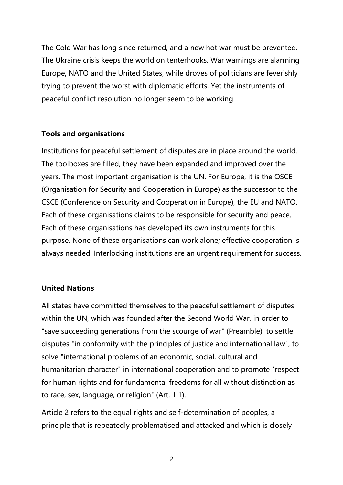The Cold War has long since returned, and a new hot war must be prevented. The Ukraine crisis keeps the world on tenterhooks. War warnings are alarming Europe, NATO and the United States, while droves of politicians are feverishly trying to prevent the worst with diplomatic efforts. Yet the instruments of peaceful conflict resolution no longer seem to be working.

# **Tools and organisations**

Institutions for peaceful settlement of disputes are in place around the world. The toolboxes are filled, they have been expanded and improved over the years. The most important organisation is the UN. For Europe, it is the OSCE (Organisation for Security and Cooperation in Europe) as the successor to the CSCE (Conference on Security and Cooperation in Europe), the EU and NATO. Each of these organisations claims to be responsible for security and peace.<br>Each of these organisations has developed its own instruments for this purpose. None of these organisations can work alone; effective cooperation is always needed. Interlocking institutions are an urgent requirement for success.

# **United Nations**

All states have committed themselves to the peaceful settlement of disputes within the UN, which was founded after the Second World War, in order to "save succeeding generations from the scourge of war" (Preamble), to settle disputes "in conformity with the principles of justice and international law", to solve "international problems of an economic, social, cultural and humanitarian character" in international cooperation and to promote "respect for human rights and for fundamental freedoms for all without distinction as to race, sex, language, or religion" (Art. 1,1).

Article 2 refers to the equal rights and self-determination of peoples, a principle that is repeatedly problematised and attacked and which is closely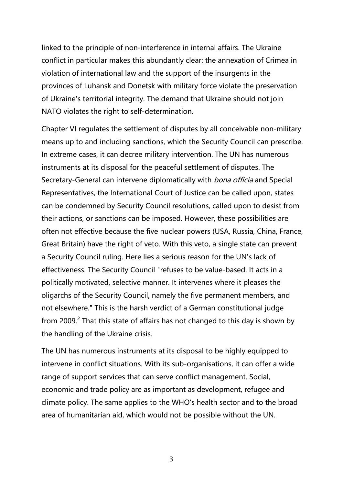linked to the principle of non-interference in internal affairs. The Ukraine conflict in particular makes this abundantly clear: the annexation of Crimea in violation of international law and the support of the insurgents in the provinces of Luhansk and Donetsk with military force violate the preservation of Ukraine's territorial integrity. The demand that Ukraine should not join NATO violates the right to self-determination.

Chapter VI regulates the settlement of disputes by all conceivable non-military means up to and including sanctions, which the Security Council can prescribe. In extreme cases, it can decree military intervention. The UN has numerous instruments at its disposal for the peaceful settlement of disputes. The Secretary-General can intervene diplomatically with *bona officia* and Special Representatives, the International Court of Justice can be called upon, states can be condemned by Security Council resolutions, called upon to desist from their actions, or sanctions can be imposed. However, these possibilities are often not effective because the five nuclear powers (USA, Russia, China, France, Great Britain) have the right of veto. With this veto, a single state can prevent a Security Council ruling. Here lies a serious reason for the UN's lack of effectiveness. The Security Council "refuses to be value-based. It acts in a politically motivated, selective manner. It intervenes where it pleases the oligarchs of the Security Council, namely the five permanent members, and not elsewhere." This is the harsh verdict of a German constitutional judge from [2](#page-13-1)009.<sup>2</sup> That this state of affairs has not changed to this day is shown by the handling of the Ukraine crisis.

The UN has numerous instruments at its disposal to be highly equipped to intervene in conflict situations. With its sub-organisations, it can offer a wide range of support services that can serve conflict management. Social, economic and trade policy are as important as development, refugee and climate policy. The same applies to the WHO's health sector and to the broad area of humanitarian aid, which would not be possible without the UN.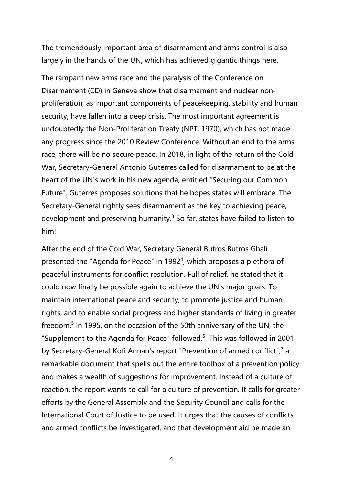The tremendously important area of disarmament and arms control is also largely in the hands of the UN, which has achieved gigantic things here.

The rampant new arms race and the paralysis of the Conference on Disarmament (CD) in Geneva show that disarmament and nuclear non proliferation, as important components of peacekeeping, stability and human security, have fallen into a deep crisis. The most important agreement is undoubtedly the Non-Proliferation Treaty (NPT, 1970), which has not made any progress since the 2010 Review Conference. Without an end to the arms race, there will be no secure peace. In 2018, in light of the return of the Cold War, Secretary-General Antonio Guterres called for disarmament to be at the heart of the UN's work in his new agenda, entitled "Securing our Common Future". Guterres proposes solutions that he hopes states will embrace. The Secretary-General rightly sees disarmament as the key to achieving peace, development and preserving humanity.<sup>[3](#page-13-2)</sup> So far, states have failed to listen to him!

After the end of the Cold War, Secretary General Butros Butros Ghali presented the "Agenda for Peace" in 1992 [4](#page-13-3) , which proposes a plethora of peaceful instruments for conflict resolution. Full of relief, he stated that it could now finally be possible again to achieve the UN's major goals: To maintain international peace and security, to promote justice and human rights, and to enable social progress and higher standards of living in greater freedom.<sup>[5](#page-13-4)</sup> In 1995, on the occasion of the 50th anniversary of the UN, the "Supplement to the Agenda for Peace" followed.<sup>[6](#page-13-5)</sup> This was followed in 2001 by Secretary-General Kofi Annan's report "Prevention of armed conflict",<sup>[7](#page-13-6)</sup> a remarkable document that spells out the entire toolbox of a prevention policy and makes a wealth of suggestions for improvement. Instead of a culture of reaction, the report wants to call for a culture of prevention. It calls for greater efforts by the General Assembly and the Security Council and calls for the International Court of Justice to be used. It urges that the causes of conflicts and armed conflicts be investigated, and that development aid be made an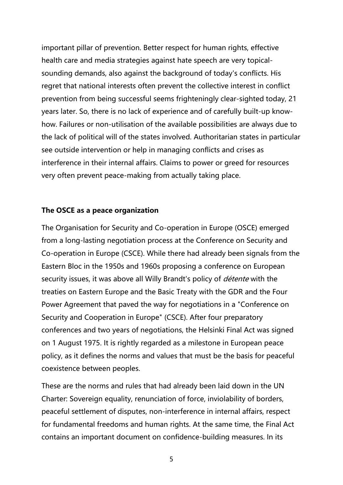important pillar of prevention. Better respect for human rights, effective health care and media strategies against hate speech are very topical sounding demands, also against the background of today's conflicts. His regret that national interests often prevent the collective interest in conflict prevention from being successful seems frighteningly clear-sighted today, 21 years later. So, there is no lack of experience and of carefully built-up know how. Failures or non-utilisation of the available possibilities are always due to the lack of political will of the states involved. Authoritarian states in particular see outside intervention or help in managing conflicts and crises as interference in their internal affairs. Claims to power or greed for resources very often prevent peace-making from actually taking place.

## **The OSCE as a peace organization**

The Organisation for Security and Co-operation in Europe (OSCE) emerged from a long-lasting negotiation process at the Conference on Security and Co-operation in Europe (CSCE). While there had already been signals from the Eastern Bloc in the 1950s and 1960s proposing a conference on European security issues, it was above all Willy Brandt's policy of *détente* with the treaties on Eastern Europe and the Basic Treaty with the GDR and the Four Power Agreement that paved the way for negotiations in a "Conference on Security and Cooperation in Europe" (CSCE). After four preparatory conferences and two years of negotiations, the Helsinki Final Act was signed on 1 August 1975.It is rightly regarded as a milestone in European peace policy, as it defines the norms and values that must be the basis for peaceful coexistence between peoples.

These are the norms and rules that had already been laid down in the UN Charter: Sovereign equality, renunciation of force, inviolability of borders,<br>peaceful settlement of disputes, non-interference in internal affairs, respect for fundamental freedoms and human rights. At the same time, the Final Act contains an important document on confidence-building measures. In its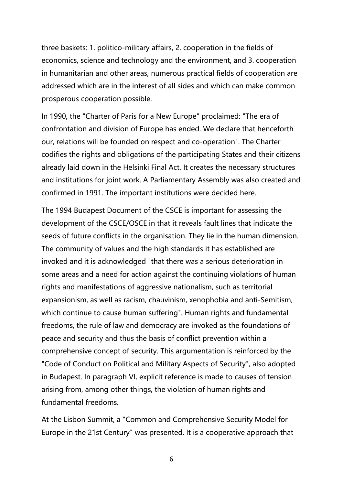three baskets: 1. politico-military affairs, 2. cooperation in the fields of economics, science and technology and the environment, and 3. cooperation in humanitarian and other areas, numerous practical fields of cooperation are addressed which are in the interest of all sides and which can make common prosperous cooperation possible.

In 1990, the "Charter of Paris for a New Europe" proclaimed: "The era of confrontation and division of Europe hasended. We declare that henceforth our, relations will be founded on respect and co-operation". The Charter codifies the rights and obligations of the participating States and their citizens already laid down in the Helsinki Final Act. It creates the necessary structures and institutions for joint work. A Parliamentary Assembly was also created and confirmed in 1991. The important institutions were decided here.

The 1994 Budapest Document of the CSCE is important for assessing the development of the CSCE/OSCE in that it reveals fault lines that indicate the seeds of future conflicts in the organisation. They lie in the human dimension. The community of values and the high standards it has established are invoked and it is acknowledged "that there was a serious deterioration in some areas and a need for action against the continuing violations of human rights and manifestations of aggressive nationalism, such as territorial expansionism, as well as racism, chauvinism, xenophobia and anti-Semitism, which continue to cause human suffering". Human rights and fundamental freedoms, the rule of law and democracy are invoked as the foundations of peace and security and thus the basis of conflict prevention within a comprehensive concept of security. This argumentation is reinforced by the "Code of Conduct on Political and Military Aspects of Security", also adopted in Budapest. In paragraph VI, explicit reference is made to causes of tension arising from, among other things, the violation of human rights and fundamental freedoms.

At the Lisbon Summit, a "Common and Comprehensive Security Model for Europe in the 21st Century" was presented. It is a cooperative approach that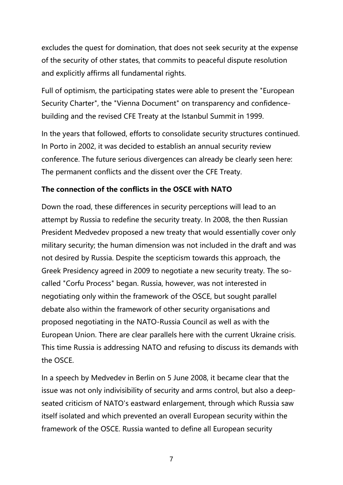excludes the quest for domination, that does not seek security at the expense of the security of other states, that commits to peaceful dispute resolution and explicitly affirms all fundamental rights.

Full of optimism, the participating states were able to present the "European Security Charter", the "Vienna Document" on transparency and confidence building and the revised CFE Treaty at the Istanbul Summit in 1999.

In the years that followed, efforts to consolidate security structures continued. In Porto in 2002, it was decided to establish an annual security review conference. The future serious divergences can already be clearly seen here: The permanent conflicts and the dissent over the CFE Treaty.

# **The connection of the conflicts in the OSCE with NATO**

Down the road, these differences in security perceptions will lead to an attempt by Russia to redefine the security treaty. In 2008, the then Russian President Medvedev proposed a new treaty that would essentially cover only military security; the human dimension was not included in the draft and was not desired by Russia. Despite the scepticism towards this approach, the Greek Presidency agreed in 2009 to negotiate a new security treaty. The so called "Corfu Process" began. Russia, however, was not interested in negotiating only within the framework of the OSCE, but sought parallel debate also within the framework of other security organisations and proposed negotiating in the NATO-Russia Council as well as with the European Union. There are clear parallels here with the current Ukraine crisis. This time Russia is addressing NATO and refusing to discuss its demands with the OSCE.

In a speech by Medvedev in Berlin on 5 June 2008, it became clear that the issue was not only indivisibility of security and arms control, but also a deep seated criticism of NATO's eastward enlargement, through which Russia saw itself isolated and which prevented an overall European security within the framework of the OSCE. Russia wanted to define all European security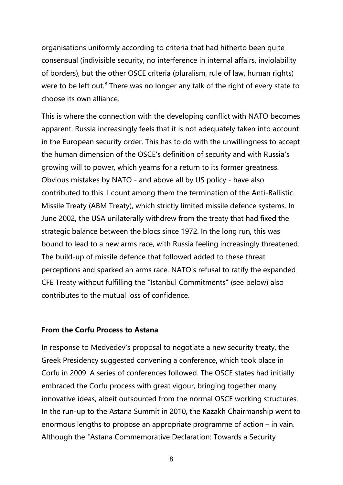organisations uniformly according to criteria that had hitherto been quite consensual (indivisible security, no interference in internal affairs, inviolability of borders), but the other OSCE criteria (pluralism, rule of law, human rights) were to be left out.<sup>[8](#page-13-7)</sup> There was no longer any talk of the right of every state to choose its own alliance.

This is where the connection with the developing conflict with NATO becomes apparent. Russia increasingly feels that it is not adequately taken into account in the European security order. This has to do with the unwillingness to accept the human dimension of the OSCE's definition of security and with Russia's growing will to power, which yearns for a return to its former greatness. Obvious mistakes by NATO - and above all by US policy - have also contributed to this. I count among them the termination of the Anti-Ballistic Missile Treaty (ABM Treaty), which strictly limited missile defence systems. In June 2002, the USA unilaterally withdrew from the treaty that had fixed the strategic balance between the blocs since 1972. In the long run, this was bound to lead to a new arms race, with Russia feeling increasingly threatened. The build-up of missile defence that followed added to these threat perceptions and sparked an arms race. NATO's refusal to ratify the expanded CFE Treaty without fulfilling the "Istanbul Commitments" (see below) also contributes to the mutual loss of confidence.

## **From the Corfu Process to Astana**

In response to Medvedev's proposal to negotiate a new security treaty, the Greek Presidency suggested convening a conference, which took place in Corfu in 2009. A series of conferences followed. The OSCE states had initially embraced the Corfu process with great vigour, bringing together many innovative ideas, albeit outsourced from the normal OSCE working structures. In the run-up to the Astana Summit in 2010, the Kazakh Chairmanship went to enormous lengths to propose an appropriate programme of action – in vain. Although the "Astana Commemorative Declaration: Towards a Security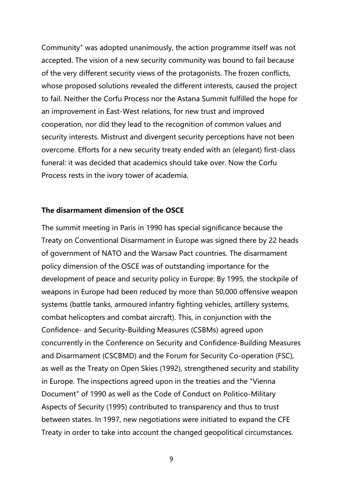Community" was adopted unanimously, the action programme itself was not accepted. The vision of a new security community was bound to fail because of the very different security views of the protagonists. The frozen conflicts, whose proposed solutions revealed the different interests, caused the project to fail. Neither the Corfu Process nor the Astana Summit fulfilled the hope for an improvement in East-West relations, for new trust and improved cooperation, nor did they lead to the recognition of common values and security interests. Mistrust and divergent security perceptions have not been overcome. Efforts for a new security treaty ended with an (elegant) first-class funeral: it was decided that academics should take over. Now the Corfu Process rests in the ivory tower of academia.

### **The disarmament dimension of the OSCE**

The summit meeting in Paris in 1990 has special significance because the Treaty on Conventional Disarmament in Europe was signed there by 22 heads of government of NATO and the Warsaw Pact countries. The disarmament policy dimension of the OSCE was of outstanding importance for the development of peace and security policy in Europe: By 1995, the stockpile of weapons in Europe had been reduced by more than 50,000 offensive weapon systems (battle tanks, armoured infantry fighting vehicles, artillery systems, combat helicopters and combat aircraft). This, in conjunction with the Confidence- and Security-Building Measures (CSBMs) agreed upon concurrently in the Conference on Security and Confidence-Building Measures and Disarmament (CSCBMD) and the Forum for Security Co-operation (FSC), as well as the Treaty on Open Skies (1992), strengthened security and stability in Europe. The inspections agreed upon in the treaties and the "Vienna Document" of 1990 as well as the Code of Conduct on Politico-Military Aspects of Security (1995) contributed to transparency and thus to trust between states. In 1997, new negotiations were initiated to expand the CFE Treaty in order to take into account the changed geopolitical circumstances.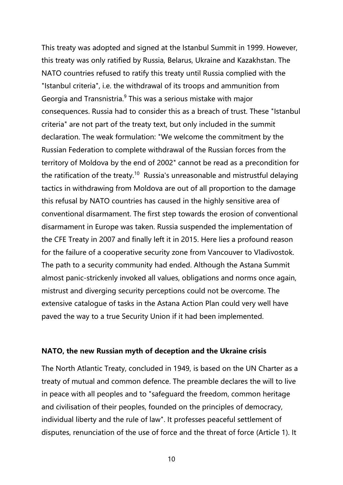This treaty was adopted and signed at the Istanbul Summit in 1999. However, this treaty was only ratified by Russia, Belarus, Ukraine and Kazakhstan. The NATO countries refused to ratify this treaty until Russia complied with the "Istanbul criteria", i.e. the withdrawal of its troops and ammunition from Georgia and Transnistria.[9](#page-13-8) This was a serious mistake with major consequences. Russia had to consider this as a breach of trust. These "Istanbul criteria" are not part of the treaty text, but only included in the summit declaration. The weak formulation: "We welcome the commitment by the Russian Federation to complete withdrawal of the Russian forces from the territory of Moldova by the end of 2002" cannot be read as a precondition for the ratification of the treaty.<sup>[10](#page-13-9)</sup> Russia's unreasonable and mistrustful delaying tactics in withdrawing from Moldova are out of all proportion to the damage this refusal by NATO countries has caused in the highly sensitive area of conventional disarmament. The first step towards the erosion of conventional disarmament in Europe was taken. Russia suspended the implementation of the CFE Treaty in 2007 and finally left it in 2015. Here lies a profound reason for the failure of a cooperative security zone from Vancouver to Vladivostok. The path to a security community had ended. Although the Astana Summit almost panic-strickenly invoked all values, obligations and norms once again, mistrust and diverging security perceptions could not be overcome. The extensive catalogue of tasks in the Astana Action Plan could very well have paved the way to a true Security Union if it had been implemented.

### **NATO, the new Russian myth of deception and the Ukraine crisis**

The North Atlantic Treaty, concluded in 1949, is based on the UN Charter as a treaty of mutual and common defence. The preamble declares the will to live in peace with all peoples and to "safeguard the freedom, common heritage and civilisation of their peoples, founded on the principles of democracy, individual liberty and the rule of law". It professes peaceful settlement of disputes, renunciation of the use of force and the threat of force (Article 1). It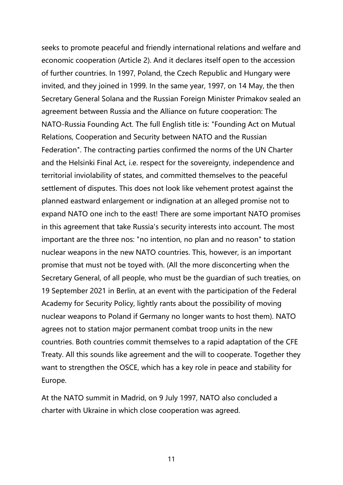seeks to promote peaceful and friendly international relations and welfare and economic cooperation (Article 2). And it declares itself open to the accession of further countries. In 1997, Poland, the Czech Republic and Hungary were invited, and they joined in 1999. In the same year, 1997, on 14 May, the then Secretary General Solana and the Russian Foreign Minister Primakov sealed an agreement between Russia and the Alliance on future cooperation: The NATO-Russia Founding Act. The full English title is: "Founding Act on Mutual Relations, Cooperation and Security between NATO and the Russian Federation". The contracting parties confirmed the norms of the UN Charter and the Helsinki Final Act, i.e. respect for the sovereignty, independence and territorial inviolability of states, and committed themselves to the peaceful settlement of disputes. This does not look like vehement protest against the planned eastward enlargement or indignation at an alleged promise not to expand NATO one inch to the east! There are some important NATO promises in this agreement that take Russia's security interests into account. The most important are the three nos: "no intention, no plan and no reason" to station nuclear weapons in the new NATO countries. This, however, is an important promise that must not be toyed with. (All the more disconcerting when the Secretary General, of all people, who must be the guardian of such treaties, on 19 September 2021 in Berlin, at an event with the participation of the Federal Academy for Security Policy, lightly rants about the possibility of moving nuclear weapons to Poland if Germany no longer wants to host them). NATO agrees not to station major permanent combat troop units in the new countries. Both countries commit themselves to a rapid adaptation of the CFE Treaty. All this sounds like agreement and the will to cooperate. Together they want to strengthen the OSCE, which has a key role in peace and stability for Europe.

At the NATO summit in Madrid, on 9 July 1997, NATO also concluded a charter with Ukraine in which close cooperation was agreed.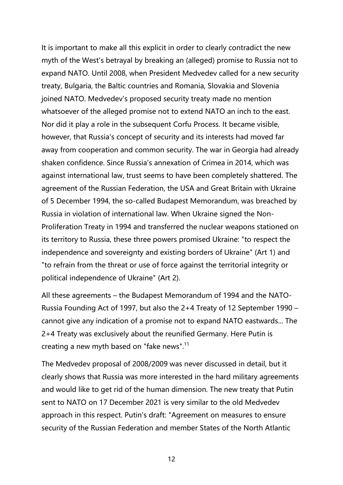It is important to make all this explicit in order to clearly contradict the new myth of the West's betrayal by breaking an (alleged) promise to Russia not to expand NATO. Until 2008, when President Medvedev called for a new security treaty, Bulgaria, the Baltic countries and Romania, Slovakia and Slovenia joined NATO. Medvedev's proposed security treaty made no mention whatsoever of the alleged promise not to extend NATO an inch to the east. Nor did it play a role in the subsequent Corfu Process. It became visible, however, that Russia's concept of security and its interests had moved far away from cooperation and common security. The war in Georgia had already shaken confidence. Since Russia's annexation of Crimea in 2014, which was against international law, trust seems to have been completely shattered. The agreement of the Russian Federation, the USA and Great Britain with Ukraine of 5 December 1994, the so-called Budapest Memorandum, was breached by Russia in violation of international law. When Ukraine signed the Non- Proliferation Treaty in 1994 and transferred the nuclear weapons stationed on its territory to Russia, these three powers promised Ukraine: "to respect the independence and sovereignty and existing borders of Ukraine" (Art 1) and "to refrain from the threat or use of force against the territorial integrity or political independence of Ukraine" (Art 2).

All these agreements – the Budapest Memorandum of 1994 and the NATO- Russia Founding Act of 1997, but also the  $2+4$  Treaty of 12 September 1990 – cannot give any indication of a promise not to expand NATO eastwards... The 2+4 Treaty was exclusively about the reunified Germany. Here Putin is creating a new myth based on "fake news".<sup>[11](#page-13-10)</sup>

The Medvedev proposal of 2008/2009 was never discussed in detail, but it clearly shows that Russia was more interested in the hard military agreements and would like to get rid of the human dimension. The new treaty that Putin sent to NATO on 17 December 2021 is very similar to the old Medvedev approach in this respect. Putin's draft: "Agreement on measures to ensure security of the Russian Federation and member States of the North Atlantic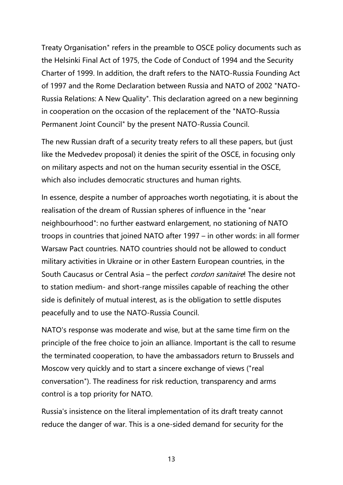Treaty Organisation" refers in the preamble to OSCE policy documents such as the Helsinki Final Act of 1975, the Code of Conduct of 1994 and the Security Charter of 1999. In addition, the draft refers to the NATO-Russia Founding Act of 1997 and the Rome Declaration between Russia and NATO of 2002 "NATO- Russia Relations: A New Quality". This declaration agreed on a new beginning in cooperation on the occasion of the replacement of the "NATO-Russia Permanent Joint Council" by the present NATO-Russia Council.

The new Russian draft of a security treaty refers to all these papers, but (just like the Medvedev proposal) it denies the spirit of the OSCE, in focusing only on military aspects and not on the human security essential in the OSCE, which also includes democratic structures and human rights.

In essence, despite a number of approaches worth negotiating, it is about the realisation of the dream of Russian spheres of influence in the "near neighbourhood": no further eastward enlargement, no stationing of NATO troops in countries that joined NATO after 1997 – in other words: in all former Warsaw Pact countries. NATO countries should not be allowed to conduct military activities in Ukraine or in other Eastern European countries, in the South Caucasus or Central Asia – the perfect *cordon sanitaire*! The desire not to station medium- and short-range missiles capable of reaching the other side is definitely of mutual interest, as is the obligation to settle disputes peacefully and to use the NATO-Russia Council.

NATO's response was moderate and wise, but at the same time firm on the principle of the free choice to join an alliance. Important is the call to resume the terminated cooperation, to have the ambassadors return to Brussels and Moscow very quickly and to start a sincere exchange of views ("real conversation"). The readiness for risk reduction, transparency and arms control is a top priority for NATO.

Russia's insistence on the literal implementation of its draft treaty cannot reduce the danger of war. This is a one-sided demand for security for the